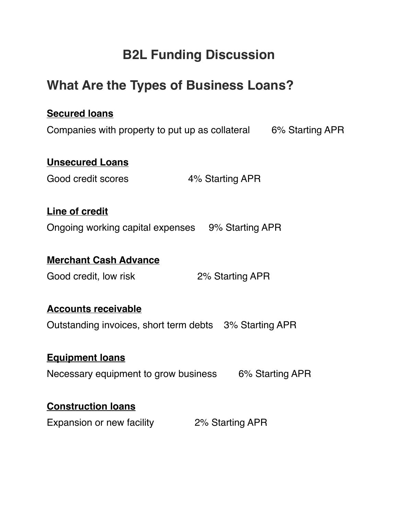# **B2L Funding Discussion**

# **What Are the Types of Business Loans?**

## **Secured loans**

Companies with property to put up as collateral 6% Starting APR

### **Unsecured Loans**

Good credit scores 4% Starting APR

## **Line of credit**

Ongoing working capital expenses 9% Starting APR

### **Merchant Cash Advance**

Good credit, low risk 2% Starting APR

#### **Accounts receivable**

Outstanding invoices, short term debts 3% Starting APR

#### **Equipment loans**

Necessary equipment to grow business 6% Starting APR

#### **Construction loans**

Expansion or new facility 2% Starting APR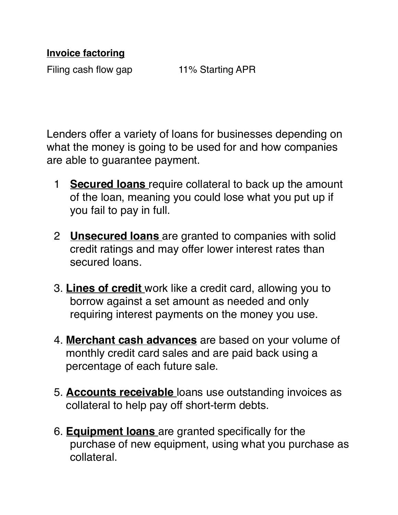## **Invoice factoring**

Filing cash flow gap 11% Starting APR

Lenders offer a variety of loans for businesses depending on what the money is going to be used for and how companies are able to guarantee payment.

- 1 **Secured loans** require collateral to back up the amount of the loan, meaning you could lose what you put up if you fail to pay in full.
- 2 **Unsecured loans** are granted to companies with solid credit ratings and may offer lower interest rates than secured loans.
- 3. **[Lines of credit](https://www.top10bestbusinessloans.com/line-of-credit)** work like a credit card, allowing you to borrow against a set amount as needed and only requiring interest payments on the money you use.
- 4. **[Merchant cash advances](https://www.top10bestbusinessloans.com/cash-advance-loan)** are based on your volume of monthly credit card sales and are paid back using a percentage of each future sale.
- 5. **Accounts receivable** loans use outstanding invoices as collateral to help pay off short-term debts.
- 6. **Equipment loans** are granted specifically for the purchase of new equipment, using what you purchase as collateral